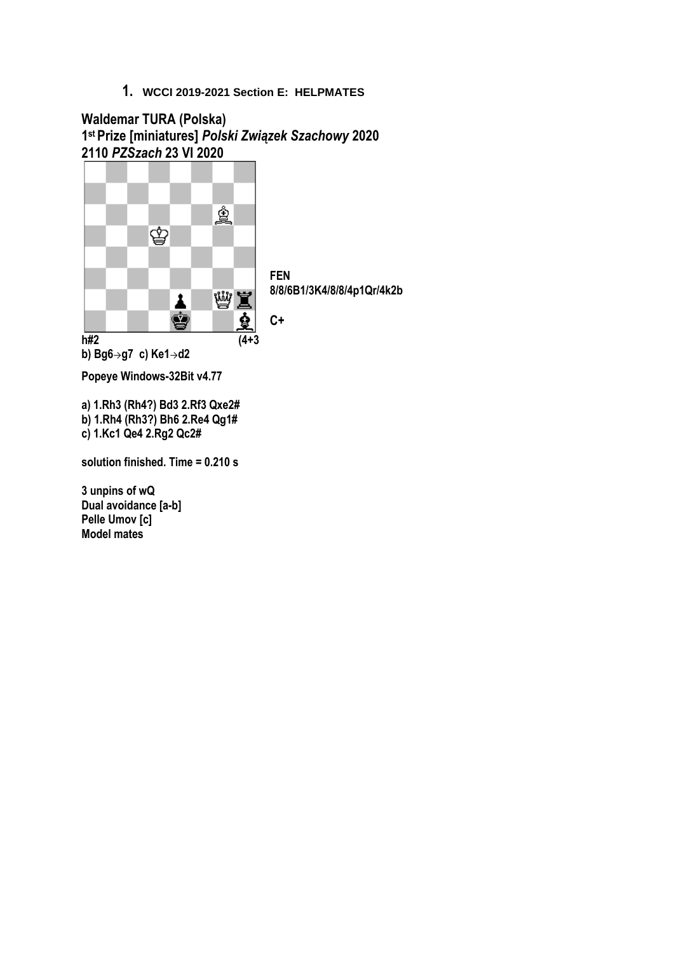**Waldemar TURA (Polska) 1 st Prize [miniatures]** *Polski Związek Szachowy* **2020 2110** *PZSzach* **23 VI 2020**



**solution finished. Time = 0.210 s**

**3 unpins of wQ Dual avoidance [a-b] Pelle Umov [c] Model mates**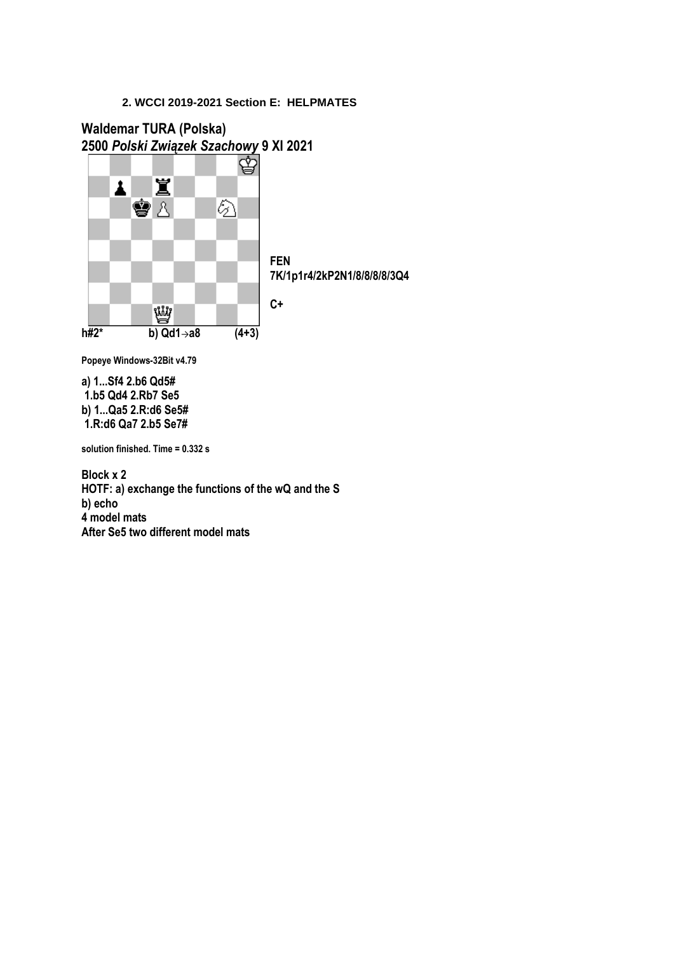# **Waldemar TURA (Polska) 2500** *Polski Związek Szachowy* **9 XI 2021**



**Popeye Windows-32Bit v4.79**

**a) 1...Sf4 2.b6 Qd5# 1.b5 Qd4 2.Rb7 Se5 b) 1...Qa5 2.R:d6 Se5# 1.R:d6 Qa7 2.b5 Se7#** 

**solution finished. Time = 0.332 s**

**Block x 2 HOTF: a) exchange the functions of the wQ and the S b) echo 4 model mats After Se5 two different model mats**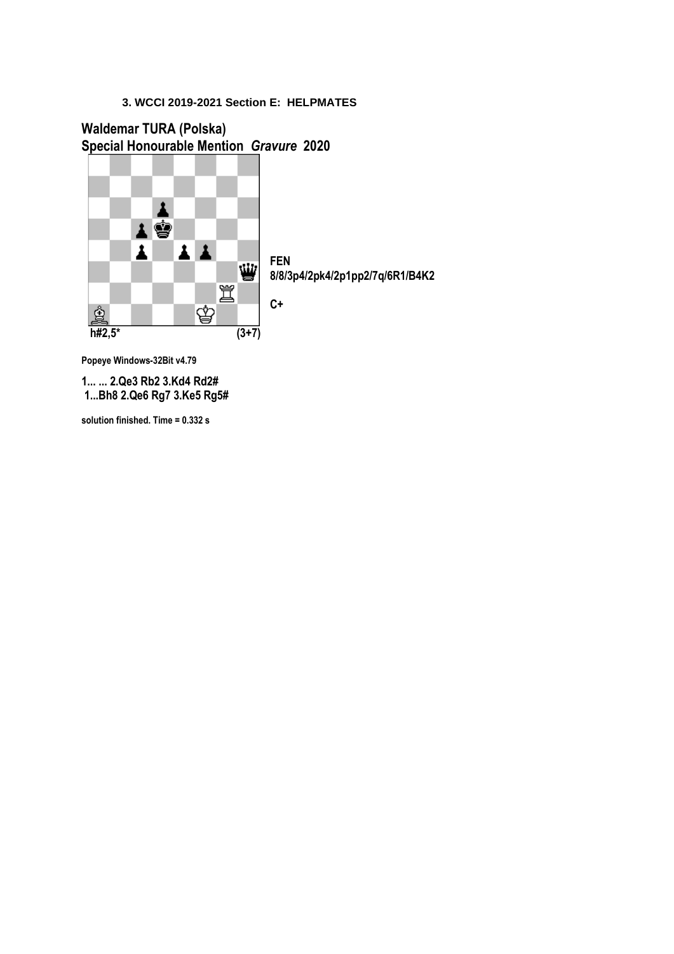## **Waldemar TURA (Polska) Special Honourable Mention** *Gravure* **2020**



**8/8/3p4/2pk4/2p1pp2/7q/6R1/B4K2**

**Popeye Windows-32Bit v4.79**

**1... ... 2.Qe3 Rb2 3.Kd4 Rd2# 1...Bh8 2.Qe6 Rg7 3.Ke5 Rg5#** 

**solution finished. Time = 0.332 s**